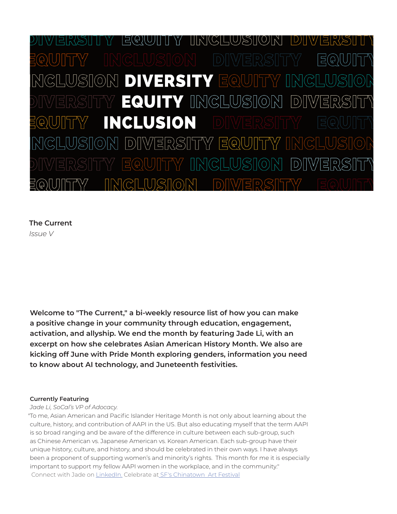$|D\rangle| \setminus V$ |금(G)(U)|| || \'/ ION DIVERSITY EQUIT **EQUITY INGLUSION**  $|D)$ **INCLUSION DIWERSITY EQUITY** 

# **The Current** *Issue V*

**Welcome to "The Current," a bi-weekly resource list of how you can make a positive change in your community through education, engagement, activation, and allyship. We end the month by featuring Jade Li, with an excerpt on how she celebrates Asian American History Month. We also are kicking off June with Pride Month exploring genders, information you need to know about AI technology, and Juneteenth festivities.**

## **Currently Featuring**

### *Jade Li, SoCal's VP of Adocacy.*

To me, Asian American and Pacific Islander Heritage Month is not only about learning about the "culture, history, and contribution of AAPI in the US. But also educating myself that the term AAPI is so broad ranging and be aware of the difference in culture between each sub-group, such as Chinese American vs. Japanese American vs. Korean American. Each sub-group have their unique history, culture, and history, and should be celebrated in their own ways. I have always been a proponent of supporting women's and minority's rights. This month for me it is especially important to support my fellow AAPI women in the workplace, and in the community." Connect with Jade on [LinkedIn.](https://www.linkedin.com/in/jade-li-48532761/) [Celebrate at SF's Chinatown Art Festival](https://sf.funcheap.com/sfs-chinatown-art-festival-1st-outdoor-art-event-portsmouth-square-1-year/)